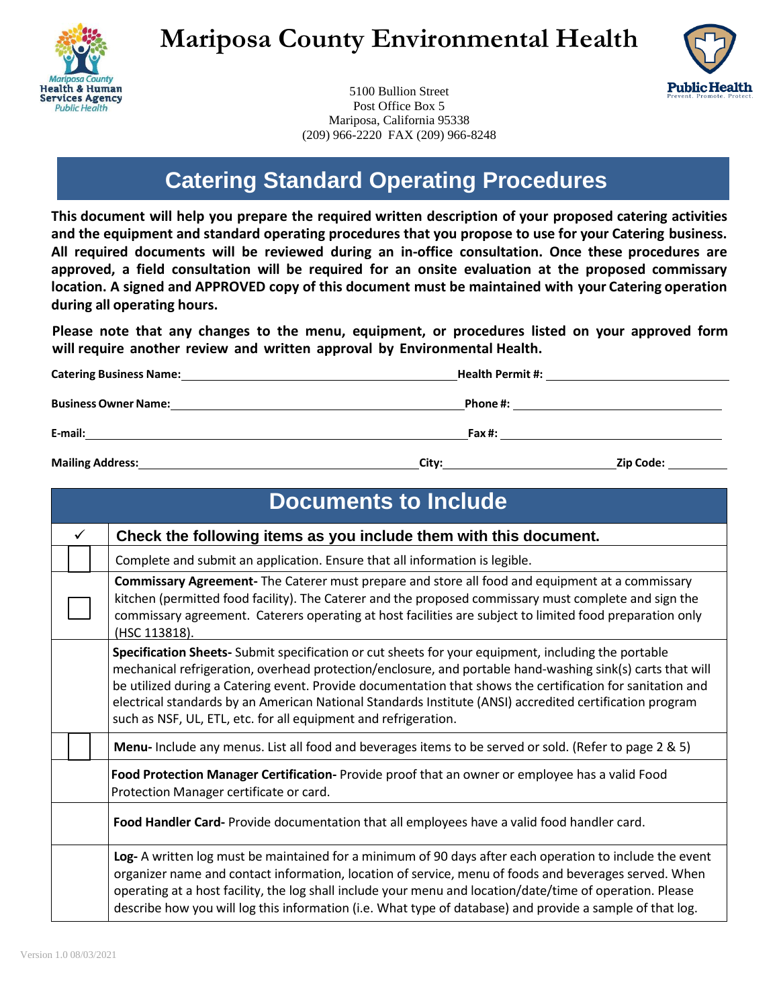

# **Mariposa County Environmental Health**



5100 Bullion Street Post Office Box 5 Mariposa, California 95338 (209) 966-2220 FAX (209) 966-8248

## **Catering Standard Operating Procedures**

**This document will help you prepare the required written description of your proposed catering activities and the equipment and standard operating procedures that you propose to use for your Catering business. All required documents will be reviewed during an in-office consultation. Once these procedures are approved, a field consultation will be required for an onsite evaluation at the proposed commissary location. A signed and APPROVED copy of this document must be maintained with your Catering operation during all operating hours.**

**Please note that any changes to the menu, equipment, or procedures listed on your approved form will require another review and written approval by Environmental Health.**

| <b>Catering Business Name:</b> | <b>Health Permit #:</b> |                  |  |  |
|--------------------------------|-------------------------|------------------|--|--|
| <b>Business Owner Name:</b>    | Phone #:                |                  |  |  |
| E-mail:                        | Fax#:                   |                  |  |  |
| <b>Mailing Address:</b>        | City:                   | <b>Zip Code:</b> |  |  |

|                                                                                                                                            | <b>Documents to Include</b>                                                       |  |                                                                                                                                                                                                                                                                                                                                                                                                                                                                                                                |  |  |
|--------------------------------------------------------------------------------------------------------------------------------------------|-----------------------------------------------------------------------------------|--|----------------------------------------------------------------------------------------------------------------------------------------------------------------------------------------------------------------------------------------------------------------------------------------------------------------------------------------------------------------------------------------------------------------------------------------------------------------------------------------------------------------|--|--|
|                                                                                                                                            | Check the following items as you include them with this document.<br>$\checkmark$ |  |                                                                                                                                                                                                                                                                                                                                                                                                                                                                                                                |  |  |
|                                                                                                                                            |                                                                                   |  | Complete and submit an application. Ensure that all information is legible.                                                                                                                                                                                                                                                                                                                                                                                                                                    |  |  |
|                                                                                                                                            |                                                                                   |  | Commissary Agreement- The Caterer must prepare and store all food and equipment at a commissary<br>kitchen (permitted food facility). The Caterer and the proposed commissary must complete and sign the<br>commissary agreement. Caterers operating at host facilities are subject to limited food preparation only<br>(HSC 113818).                                                                                                                                                                          |  |  |
|                                                                                                                                            |                                                                                   |  | Specification Sheets- Submit specification or cut sheets for your equipment, including the portable<br>mechanical refrigeration, overhead protection/enclosure, and portable hand-washing sink(s) carts that will<br>be utilized during a Catering event. Provide documentation that shows the certification for sanitation and<br>electrical standards by an American National Standards Institute (ANSI) accredited certification program<br>such as NSF, UL, ETL, etc. for all equipment and refrigeration. |  |  |
|                                                                                                                                            |                                                                                   |  | Menu-Include any menus. List all food and beverages items to be served or sold. (Refer to page 2 & 5)                                                                                                                                                                                                                                                                                                                                                                                                          |  |  |
| Food Protection Manager Certification- Provide proof that an owner or employee has a valid Food<br>Protection Manager certificate or card. |                                                                                   |  |                                                                                                                                                                                                                                                                                                                                                                                                                                                                                                                |  |  |
| Food Handler Card-Provide documentation that all employees have a valid food handler card.                                                 |                                                                                   |  |                                                                                                                                                                                                                                                                                                                                                                                                                                                                                                                |  |  |
|                                                                                                                                            |                                                                                   |  | Log- A written log must be maintained for a minimum of 90 days after each operation to include the event<br>organizer name and contact information, location of service, menu of foods and beverages served. When<br>operating at a host facility, the log shall include your menu and location/date/time of operation. Please<br>describe how you will log this information (i.e. What type of database) and provide a sample of that log.                                                                    |  |  |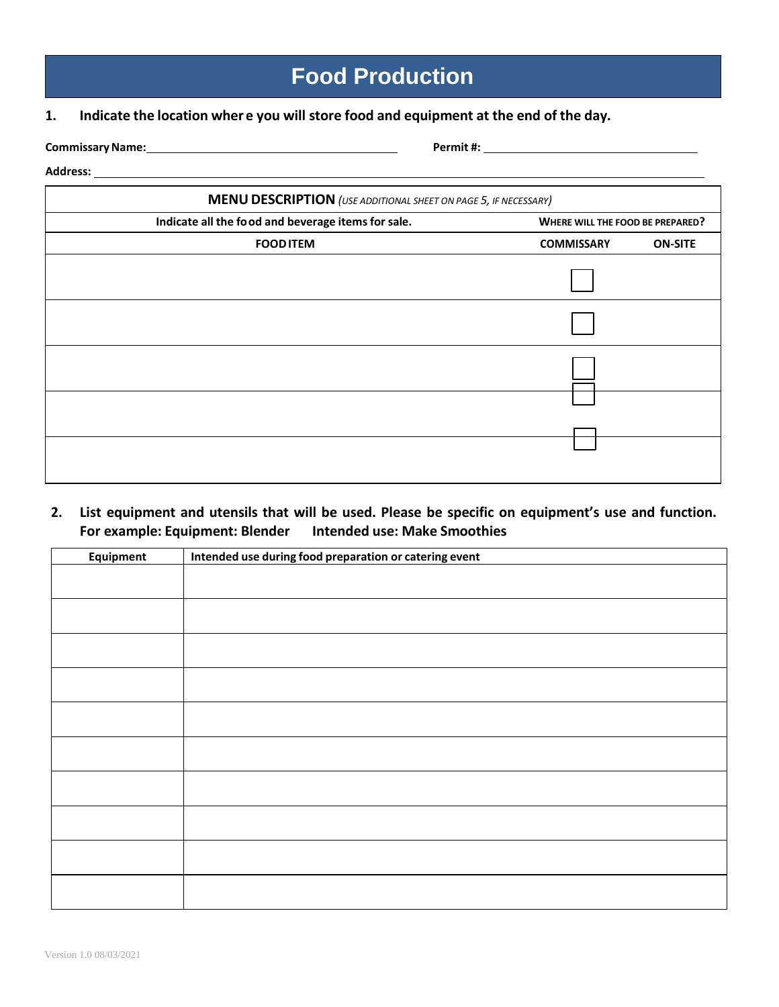## **Food Production**

### **1. Indicate the location wher e you will store food and equipment at the end of the day.**

<u> 1989 - Johann Stoff, deutscher Stoffen und der Stoffen und der Stoffen und der Stoffen und der Stoffen und de</u>

**CommissaryName: Permit #:**

#### **Address:**

| <b>MENU DESCRIPTION</b> (USE ADDITIONAL SHEET ON PAGE 5, IF NECESSARY) |                                         |                |  |  |
|------------------------------------------------------------------------|-----------------------------------------|----------------|--|--|
| Indicate all the food and beverage items for sale.                     | <b>WHERE WILL THE FOOD BE PREPARED?</b> |                |  |  |
| <b>FOOD ITEM</b>                                                       | <b>COMMISSARY</b>                       | <b>ON-SITE</b> |  |  |
|                                                                        |                                         |                |  |  |
|                                                                        |                                         |                |  |  |
|                                                                        |                                         |                |  |  |
|                                                                        |                                         |                |  |  |
|                                                                        |                                         |                |  |  |
|                                                                        |                                         |                |  |  |
|                                                                        |                                         |                |  |  |

## **2. List equipment and utensils that will be used. Please be specific on equipment's use and function. For example: Equipment: Blender Intended use: Make Smoothies**

| <b>Equipment</b> | Intended use during food preparation or catering event |
|------------------|--------------------------------------------------------|
|                  |                                                        |
|                  |                                                        |
|                  |                                                        |
|                  |                                                        |
|                  |                                                        |
|                  |                                                        |
|                  |                                                        |
|                  |                                                        |
|                  |                                                        |
|                  |                                                        |
|                  |                                                        |
|                  |                                                        |
|                  |                                                        |
|                  |                                                        |
|                  |                                                        |
|                  |                                                        |
|                  |                                                        |
|                  |                                                        |
|                  |                                                        |
|                  |                                                        |
|                  |                                                        |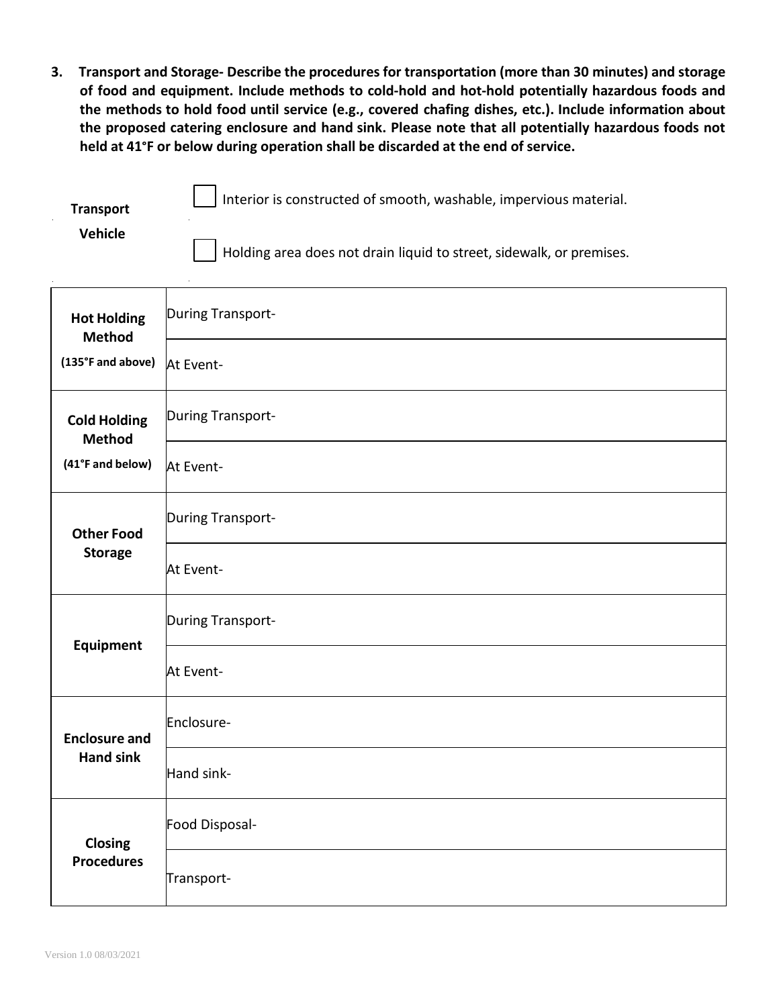**3. Transport and Storage- Describe the procedures for transportation (more than 30 minutes) and storage of food and equipment. Include methods to cold-hold and hot-hold potentially hazardous foods and the methods to hold food until service (e.g., covered chafing dishes, etc.). Include information about the proposed catering enclosure and hand sink. Please note that all potentially hazardous foods not held at 41°F or below during operation shall be discarded at the end of service.**

| <b>Transport</b> | I Interior is constructed of smooth, washable, impervious material.                  |
|------------------|--------------------------------------------------------------------------------------|
| Vehicle          | $\vert \ \vert$ Holding area does not drain liquid to street, sidewalk, or premises. |

 $\mathbf{r}$ 

| <b>Hot Holding</b><br><b>Method</b>  | During Transport- |
|--------------------------------------|-------------------|
| (135°F and above)                    | At Event-         |
| <b>Cold Holding</b><br><b>Method</b> | During Transport- |
| (41°F and below)                     | At Event-         |
| <b>Other Food</b>                    | During Transport- |
| <b>Storage</b>                       | At Event-         |
| <b>Equipment</b>                     | During Transport- |
|                                      | At Event-         |
| <b>Enclosure and</b>                 | Enclosure-        |
| <b>Hand sink</b>                     | Hand sink-        |
| Closing                              | Food Disposal-    |
| <b>Procedures</b>                    | Transport-        |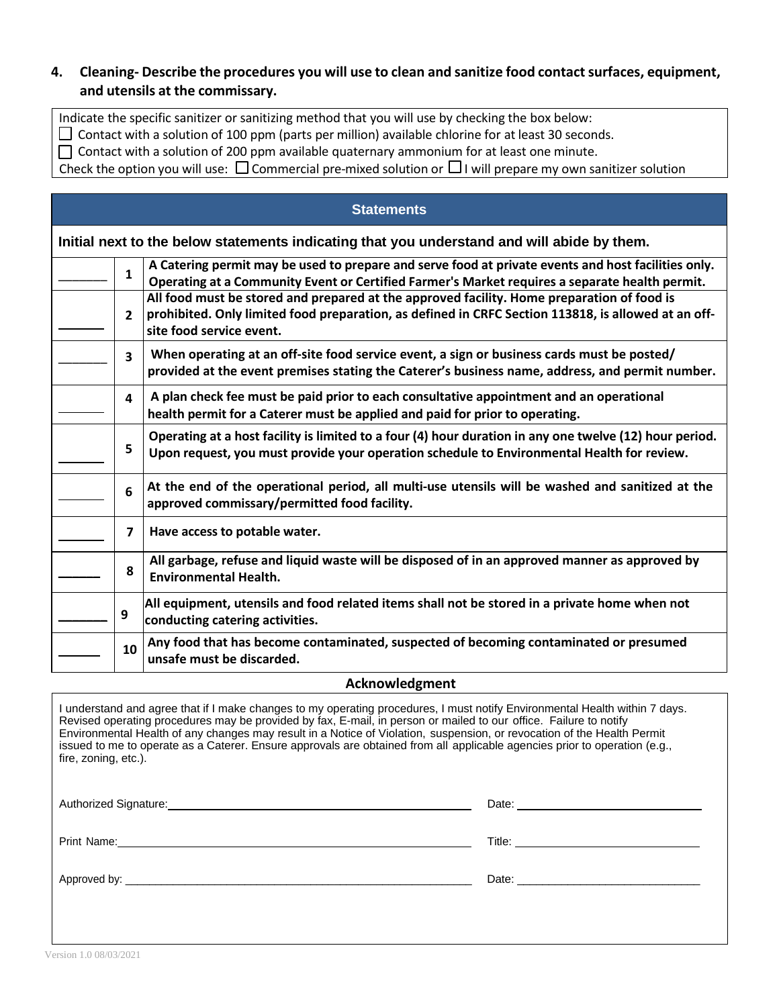### **4. Cleaning- Describe the procedures you will use to clean and sanitize food contactsurfaces, equipment, and utensils at the commissary.**

Indicate the specific sanitizer or sanitizing method that you will use by checking the box below:

 $\Box$  Contact with a solution of 100 ppm (parts per million) available chlorine for at least 30 seconds.

 $\Box$  Contact with a solution of 200 ppm available quaternary ammonium for at least one minute.

Check the option you will use:  $\Box$  Commercial pre-mixed solution or  $\Box$  I will prepare my own sanitizer solution

| <b>Statements</b> |                                                                                             |                                                                                                                                                                                                                               |  |  |
|-------------------|---------------------------------------------------------------------------------------------|-------------------------------------------------------------------------------------------------------------------------------------------------------------------------------------------------------------------------------|--|--|
|                   | Initial next to the below statements indicating that you understand and will abide by them. |                                                                                                                                                                                                                               |  |  |
|                   | $\mathbf{1}$                                                                                | A Catering permit may be used to prepare and serve food at private events and host facilities only.<br>Operating at a Community Event or Certified Farmer's Market requires a separate health permit.                         |  |  |
|                   | 2                                                                                           | All food must be stored and prepared at the approved facility. Home preparation of food is<br>prohibited. Only limited food preparation, as defined in CRFC Section 113818, is allowed at an off-<br>site food service event. |  |  |
|                   | 3                                                                                           | When operating at an off-site food service event, a sign or business cards must be posted/<br>provided at the event premises stating the Caterer's business name, address, and permit number.                                 |  |  |
|                   | 4                                                                                           | A plan check fee must be paid prior to each consultative appointment and an operational<br>health permit for a Caterer must be applied and paid for prior to operating.                                                       |  |  |
|                   | 5                                                                                           | Operating at a host facility is limited to a four (4) hour duration in any one twelve (12) hour period.<br>Upon request, you must provide your operation schedule to Environmental Health for review.                         |  |  |
|                   | 6                                                                                           | At the end of the operational period, all multi-use utensils will be washed and sanitized at the<br>approved commissary/permitted food facility.                                                                              |  |  |
|                   | $\overline{ }$                                                                              | Have access to potable water.                                                                                                                                                                                                 |  |  |
|                   | 8                                                                                           | All garbage, refuse and liquid waste will be disposed of in an approved manner as approved by<br><b>Environmental Health.</b>                                                                                                 |  |  |
|                   | 9                                                                                           | All equipment, utensils and food related items shall not be stored in a private home when not<br>conducting catering activities.                                                                                              |  |  |
|                   | 10                                                                                          | Any food that has become contaminated, suspected of becoming contaminated or presumed<br>unsafe must be discarded.                                                                                                            |  |  |

#### **Acknowledgment**

I understand and agree that if I make changes to my operating procedures, I must notify Environmental Health within 7 days. Revised operating procedures may be provided by fax, E-mail, in [person](mailto:emd.info@edcgov.us) or mailed to our office. Failure to notify Environmental Health of any changes may result in a Notice of Violation, suspension, or revocation of the Health Permit issued to me to operate as a Caterer. Ensure approvals are obtained from all applicable agencies prior to operation (e.g., fire, zoning, etc.).

Authorized Signature: Date: Date: Date: Date: Date: Date: Date: Date: Date: Date:

Print Name: Title:

| ᠸ. |  |  |
|----|--|--|
|    |  |  |
|    |  |  |

Approved by: \_\_\_\_\_\_\_\_\_\_\_\_\_\_\_\_\_\_\_\_\_\_\_\_\_\_\_\_\_\_\_\_\_\_\_\_\_\_\_\_\_\_\_\_\_\_\_\_\_\_\_\_\_\_\_\_\_\_ Date: \_\_\_\_\_\_\_\_\_\_\_\_\_\_\_\_\_\_\_\_\_\_\_\_\_\_\_\_\_